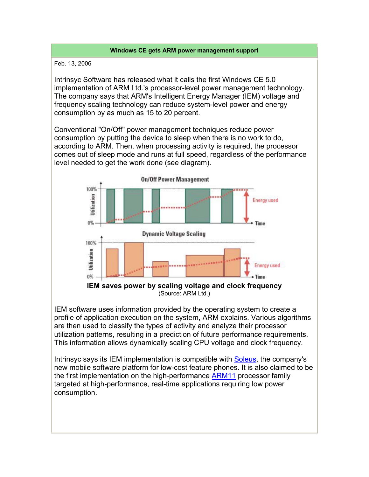## **Windows CE gets ARM power management support**

Feb. 13, 2006

Intrinsyc Software has released what it calls the first Windows CE 5.0 implementation of ARM Ltd.'s processor-level power management technology. The company says that ARM's Intelligent Energy Manager (IEM) voltage and frequency scaling technology can reduce system-level power and energy consumption by as much as 15 to 20 percent.

Conventional "On/Off" power management techniques reduce power consumption by putting the device to sleep when there is no work to do, according to ARM. Then, when processing activity is required, the processor comes out of sleep mode and runs at full speed, regardless of the performance level needed to get the work done (see diagram).



IEM software uses information provided by the operating system to create a profile of application execution on the system, ARM explains. Various algorithms are then used to classify the types of activity and analyze their processor utilization patterns, resulting in a prediction of future performance requirements. This information allows dynamically scaling CPU voltage and clock frequency.

Intrinsyc says its IEM implementation is compatible with Soleus, the company's new mobile software platform for low-cost feature phones. It is also claimed to be the first implementation on the high-performance ARM11 processor family targeted at high-performance, real-time applications requiring low power consumption.